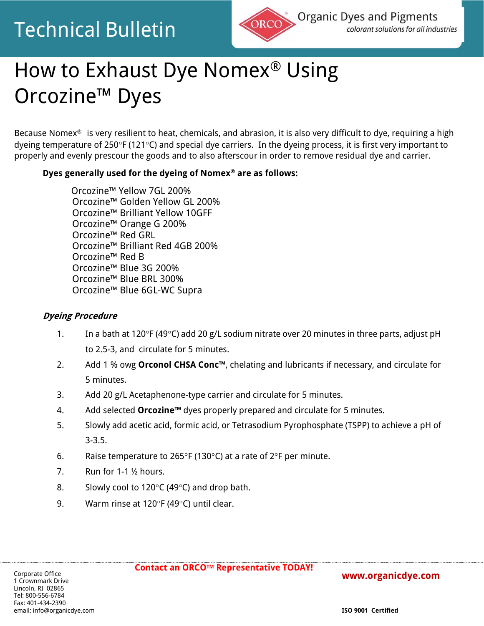# Technical Bulletin



# How to Exhaust Dye Nomex® Using Orcozine™ Dyes

Because Nomex® is very resilient to heat, chemicals, and abrasion, it is also very difficult to dye, requiring a high dyeing temperature of 250°F (121°C) and special dye carriers. In the dyeing process, it is first very important to properly and evenly prescour the goods and to also afterscour in order to remove residual dye and carrier.

### **Dyes generally used for the dyeing of Nomex® are as follows:**

Orcozine™ Yellow 7GL 200% Orcozine™ Golden Yellow GL 200% Orcozine™ Brilliant Yellow 10GFF Orcozine™ Orange G 200% Orcozine™ Red GRL Orcozine™ Brilliant Red 4GB 200% Orcozine™ Red B Orcozine™ Blue 3G 200% Orcozine™ Blue BRL 300% Orcozine™ Blue 6GL-WC Supra

#### **Dyeing Procedure**

- 1. In a bath at 120°F (49°C) add 20 g/L sodium nitrate over 20 minutes in three parts, adjust pH to 2.5-3, and circulate for 5 minutes.
- 2. Add 1 % owg **Orconol CHSA Conc™**, chelating and lubricants if necessary, and circulate for 5 minutes.
- 3. Add 20 g/L Acetaphenone-type carrier and circulate for 5 minutes.
- 4. Add selected **Orcozine™** dyes properly prepared and circulate for 5 minutes.
- 5. Slowly add acetic acid, formic acid, or Tetrasodium Pyrophosphate (TSPP) to achieve a pH of 3-3.5.
- 6. Raise temperature to 265°F (130°C) at a rate of 2°F per minute.
- 7. Run for 1-1 ½ hours.
- 8. Slowly cool to 120 $\degree$ C (49 $\degree$ C) and drop bath.
- 9. Warm rinse at 120 $\degree$ F (49 $\degree$ C) until clear.

#### **[www.organicdye.com](http://www.organicdye.com/)**